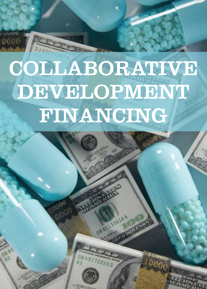# Collaborative DEVELOPMENT FINANCING



**DB 85133616** 

 $\langle \sigma v_{\phi} \rangle$ 

14

BOOR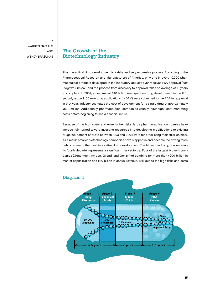**BY** WARREN NACHLIS and Wendy Brasunas

# The Growth of the Biotechnology Industry

Pharmaceutical drug development is a risky and very expensive process. According to the Pharmaceutical Research and Manufacturers of America, only one in every 10,000 pharmaceutical products developed in the laboratory actually ever receives FDA approval (see Diagram 1 below), and the process from discovery to approval takes an average of 15 years to complete. In 2004, an estimated \$40 billion was spent on drug development in the U.S., yet only around 100 new drug applications ("NDAs") were submitted to the FDA for approval in that year. Industry estimates the cost of development for a single drug at approximately \$800 million. Additionally, pharmaceutical companies usually incur significant marketing costs before beginning to see a financial return.

Because of the high costs and even higher risks, large pharmaceutical companies have increasingly turned toward investing resources into developing modifications to existing drugs (68 percent of NDAs between 1993 and 2004 were for preexisting molecular entities). As a result, smaller biotechnology companies have stepped in and become the driving force behind some of the most innovative drug development. The biotech industry, now entering its fourth decade, represents a significant market force. Four of the largest biotech companies (Genentech, Amgen, Gilead, and Genzyme) combine for more than \$200 billion in market capitalization and \$30 billion in annual revenue. Still, due to the high risks and costs



## Diagram 1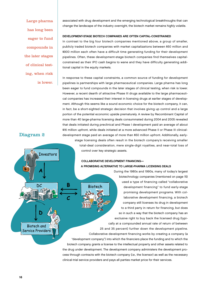Large pharma has long been eager to fund compounds in the later stages of clinical testing, when risk is lower. associated with drug development and the emerging technological breakthroughs that can change the landscape of the industry overnight, the biotech market remains highly volatile.

### Development-Stage Biotech Companies Are Often Capital-Constrained

In contrast to the big four biotech companies mentioned above, a group of smaller, publicly traded biotech companies with market capitalizations between \$50 million and \$900 million each often have a difficult time generating funding for their development pipelines. Often, these development-stage biotech companies find themselves capitalconstrained as their IPO cash begins to wane and they have difficulty generating additional capital in the equity markets.

In response to these capital constraints, a common source of funding for development pipelines is partnerships with large pharmaceutical companies. Large pharma has long been eager to fund compounds in the later stages of clinical testing, when risk is lower. However, a recent dearth of attractive Phase III drugs available to the large pharmaceutical companies has increased their interest in licensing drugs at earlier stages of development. Although this seems like a sound economic choice for the biotech company, it can, in fact, be a short-sighted strategic decision that involves giving up control and a large portion of the potential economic upside prematurely. A review by Recombinant Capital of more than 40 large-pharma licensing deals consummated during 2004 and 2005 revealed that deals initiated during preclinical and Phase I development paid an average of about \$16 million upfront, while deals initiated at a more advanced Phase II or Phase III clinicaldevelopment stage paid an average of more than \$50 million upfront. Additionally, earlystage licensing deals often result in the biotech company's receiving smaller total-deal consideration, mere single-digit royalties, and near-total loss of

#### control over key strategic assets.

## Collaborative Development Financing— A Promising Alternative to Large-Pharma Licensing Deals

During the 1980s and 1990s, many of today's largest biotechnology companies (mentioned on page 15) used a type of financing called "collaborative **Biotech** development financing" to fund early-stage promising development programs. With collaborative development financing, a biotech company still licenses its drug in development to a third party in return for financing, but does so in such a way that the biotech company has an exclusive right to buy back the licensed drug (typically at a compounded annual rate of return of between 25 and 35 percent) further down the development pipeline. Collaborative development financing works by creating a company (a "development company") into which the financiers place the funding and to which the biotech company grants a license to the intellectual property and other assets related to the drug under development. The development company administers the development process through contracts with the biotech company (i.e., the licensor) as well as the necessary clinical-trial service providers and pays all parties market price for their services.

# Diagram 2

**Investors** 

DC

**Biotech** and Service Providers B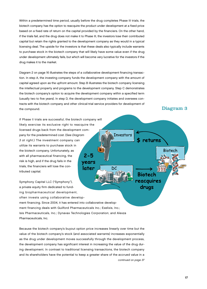Within a predetermined time period, usually before the drug completes Phase III trials, the biotech company has the option to reacquire the product under development at a fixed price based on a fixed rate of return on the capital provided by the financiers. On the other hand, if the trials fail, and the drug does not make it to Phase III, the investors lose their contributed capital but retain the rights granted to the development company as they would in a typical licensing deal. The upside for the investors is that these deals also typically include warrants to purchase stock in the biotech company that will likely have some value even if the drug under development ultimately fails, but which will become very lucrative for the investors if the drug makes it to the market.

Diagram 2 on page 16 illustrates the steps of a collaborative development financing transaction. In step A, the investing company funds the development company with the amount of capital agreed upon as the upfront amount. Step B illustrates the biotech company licensing the intellectual property and programs to the development company. Step C demonstrates the biotech company's option to acquire the development company within a specified term (usually two to five years). In step D, the development company initiates and oversees contracts with the biotech company and other clinical-trial service providers for development of the compound.

**Investors** 

DC

If Phase II trials are successful, the biotech company will likely exercise its exclusive right to reacquire the licensed drugs back from the development company for the predetermined cost. (See Diagram 3 at right.) The investment company can utilize its warrants to purchase stock in the biotech company. Unfortunately, as  $2 - 5$ with all pharmaceutical financing, the risk is high, and if the drug fails in the years trials, the financiers will lose the conlater tributed capital.

Symphony Capital LLC ("Symphony"), a private equity firm dedicated to funding biopharmaceutical development, often invests using collaborative development financing. Since 2004, it has entered into collaborative development financing deals with Guilford Pharmaceuticals Inc.; Exelixis, Inc.; Isis Pharmaceuticals, Inc.; Dynavax Technologies Corporation; and Alexza

Pharmaceuticals, Inc.

Because the biotech company's buyout option price increases linearly over time but the value of the biotech company's stock (and associated warrants) increases exponentially as the drug under development moves successfully through the development process, the development company has significant interest in increasing the value of the drug during development. In contrast to traditional licensing transactions, the biotech company and its shareholders have the potential to keep a greater share of the accrued value in a continued on page 37

# Diagram 3

Biotech

returns

Biotech reacquires drugs